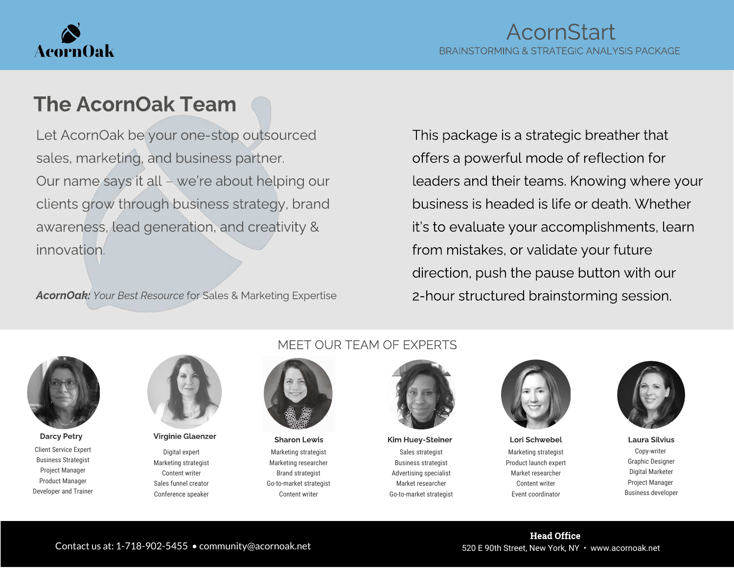

# The AcornOak Team

Let AcornOak be your one-stop outsourced sales, marketing, and business partner. Our name says it all – we're about helping our clients grow through business strategy, brand awareness, lead generation, and creativity & innovation.

AcornOak: Your Best Resource for Sales & Marketing Expertise

This package is a strategic breather that offers a powerful mode of reflection for leaders and their teams. Knowing where your business is headed is life or death. Whether it's to evaluate your accomplishments, learn from mistakes, or validate your future direction, push the pause button with our 2-hour structured brainstorming session.



Client Service Expert Business Strategist Project Manager Product Manager Developer and Trainer



Digital expert Marketing strategist Content writer Sales funnel creator Conference speaker

#### MEET OUR TEAM OF EXPERTS



Marketing strategist Marketing researcher Brand strategist Go-to-market strategist Content writer

Sales strategist Business strategist Advertising specialist Market researcher Go-to-market strategist Darcy Petry Sharon Lewis Kim Huey-Steiner Lori Schwebel Laura Silvius Laura Silvius Charon Lewis Kim Huey-Steiner



Marketing strategist Product launch expert Market researcher Content writer Event coordinator



Copy-writer Graphic Designer Digital Marketer Project Manager Business developer